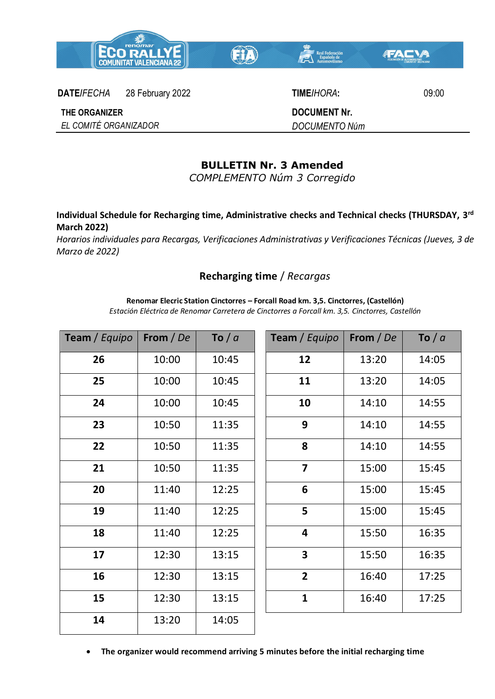



**DATE/***FECHA* 28 February 2022 **TIME/***HORA***:** 09:00

**DOCUMENT Nr.** *DOCUMENTO Núm*

## **THE ORGANIZER**

*EL COMITÉ ORGANIZADOR*

## **BULLETIN Nr. 3 Amended**

*COMPLEMENTO Núm 3 Corregido* 

**Individual Schedule for Recharging time, Administrative checks and Technical checks (THURSDAY, 3 rd March 2022)**

*Horarios individuales para Recargas, Verificaciones Administrativas y Verificaciones Técnicas (Jueves, 3 de Marzo de 2022)*

## **Recharging time** / *Recargas*

**Renomar Elecric Station Cinctorres – Forcall Road km. 3,5. Cinctorres, (Castellón)**

*Estación Eléctrica de Renomar Carretera de Cinctorres a Forcall km. 3,5. Cinctorres, Castellón*

| Team / Equipo | From / De | To $/a$ | Team / Equipo           | From / De | To $/a$ |
|---------------|-----------|---------|-------------------------|-----------|---------|
| 26            | 10:00     | 10:45   | 12                      | 13:20     | 14:05   |
| 25            | 10:00     | 10:45   | 11                      | 13:20     | 14:05   |
| 24            | 10:00     | 10:45   | 10                      | 14:10     | 14:55   |
| 23            | 10:50     | 11:35   | 9                       | 14:10     | 14:55   |
| 22            | 10:50     | 11:35   | 8                       | 14:10     | 14:55   |
| 21            | 10:50     | 11:35   | $\overline{7}$          | 15:00     | 15:45   |
| 20            | 11:40     | 12:25   | 6                       | 15:00     | 15:45   |
| 19            | 11:40     | 12:25   | 5                       | 15:00     | 15:45   |
| 18            | 11:40     | 12:25   | 4                       | 15:50     | 16:35   |
| 17            | 12:30     | 13:15   | $\overline{\mathbf{3}}$ | 15:50     | 16:35   |
| 16            | 12:30     | 13:15   | $\overline{2}$          | 16:40     | 17:25   |
| 15            | 12:30     | 13:15   | $\mathbf{1}$            | 16:40     | 17:25   |
| 14            | 13:20     | 14:05   |                         |           |         |

**The organizer would recommend arriving 5 minutes before the initial recharging time**